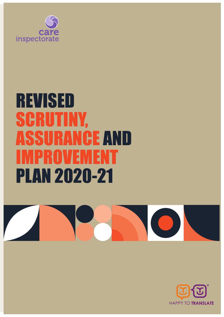

# REVISED SCRUTINY, ASSURANCE AND IMPROVEMENT PLAN 2020-21



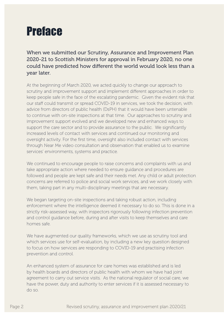## Preface

When we submitted our Scrutiny, Assurance and Improvement Plan 2020-21 to Scottish Ministers for approval in February 2020, no one could have predicted how different the world would look less than a year later.

At the beginning of March 2020, we acted quickly to change our approach to scrutiny and improvement support and implement different approaches in order to keep people safe in the face of the escalating pandemic. Given the evident risk that our staff could transmit or spread COVID-19 in services, we took the decision, with advice from directors of public health (DsPH) that it would have been untenable to continue with on-site inspections at that time. Our approaches to scrutiny and improvement support evolved and we developed new and enhanced ways to support the care sector and to provide assurance to the public. We significantly increased levels of contact with services and continued our monitoring and oversight activity. For the first time, oversight also included contact with services through Near Me video consultation and observation that enabled us to examine services' environments, systems and practice.

We continued to encourage people to raise concerns and complaints with us and take appropriate action where needed to ensure guidance and procedures are followed and people are kept safe and their needs met. Any child or adult protection concerns are referred to police and social work services, and we work closely with them, taking part in any multi-disciplinary meetings that are necessary.

We began targeting on-site inspections and taking robust action, including enforcement where the intelligence deemed it necessary to do so. This is done in a strictly risk-assessed way, with inspectors rigorously following infection prevention and control guidance before, during and after visits to keep themselves and care homes safe.

We have augmented our quality frameworks, which we use as scrutiny tool and which services use for self-evaluation, by including a new key question designed to focus on how services are responding to COVID-19 and practising infection prevention and control.

An enhanced system of assurance for care homes was established and is led by health boards and directors of public health with whom we have had joint agreement to carry out service visits. As the national regulator of social care, we have the power, duty and authority to enter services if it is assessed necessary to do so.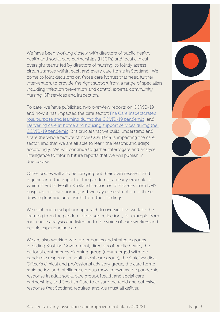We have been working closely with directors of public health, health and social care partnerships (HSCPs) and local clinical oversight teams led by directors of nursing, to jointly assess circumstances within each and every care home in Scotland. We come to joint decisions on those care homes that need further intervention, to provide the right support from a range of specialists including infection prevention and control experts, community nursing, GP services and inspection.

To date, we have published two overview reports on COVID-19 and how it has impacted the care sector[:The Care Inspectorate's](https://www.careinspectorate.com/images/documents/5783/CI%20Role%20Purpose%20Learning%20during%20COVID-19.pdf)  [role, purpose and learning during the COVID-19 pandemic;](https://www.careinspectorate.com/images/documents/5783/CI%20Role%20Purpose%20Learning%20during%20COVID-19.pdf) and [Delivering care at home and housing support services during the](https://www.careinspectorate.com/images/documents/5816/Delivering%20CAH%20and%20HSS%20during%20the%20COVID-19%20pandemic%20-%20%20FINAL%2022092020.pdf)  [COVID-19 pandemic.](https://www.careinspectorate.com/images/documents/5816/Delivering%20CAH%20and%20HSS%20during%20the%20COVID-19%20pandemic%20-%20%20FINAL%2022092020.pdf) It is crucial that we build, understand and share the whole picture of how COVID-19 is impacting the care sector, and that we are all able to learn the lessons and adapt accordingly. We will continue to gather, interrogate and analyse intelligence to inform future reports that we will publish in due course.

Other bodies will also be carrying out their own research and inquiries into the impact of the pandemic, an early example of which is Public Health Scotland's report on discharges from NHS hospitals into care homes, and we pay close attention to these, drawing learning and insight from their findings.

We continue to adapt our approach to oversight as we take the learning from the pandemic through reflections, for example from root cause analysis and listening to the voice of care workers and people experiencing care.

We are also working with other bodies and strategic groups including Scottish Government, directors of public health, the national contingency planning group (now merged with the pandemic response in adult social care group), the Chief Medical Officer's clinical and professional advisory group, the care home rapid action and intelligence group (now known as the pandemic response in adult social care group), health and social care partnerships, and Scottish Care to ensure the rapid and cohesive response that Scotland requires, and we must all deliver.

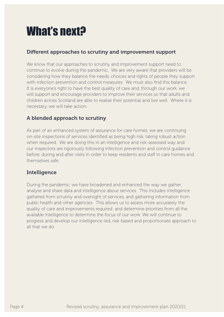## What's next?

## Different approaches to scrutiny and improvement support

We know that our approaches to scrutiny and improvement support need to continue to evolve during the pandemic. We are very aware that providers will be considering how they balance the needs, choices and rights of people they support with infection prevention and control measures. We must also find this balance. It is everyone's right to have the best quality of care and, through our work, we will support and encourage providers to improve their services so that adults and children across Scotland are able to realise their potential and live well. Where it is necessary, we will take action.

## A blended approach to scrutiny

As part of an enhanced system of assurance for care homes, we are continuing on-site inspections of services identified as being high risk, taking robust action when required. We are doing this in an intelligence and risk-assessed way and our inspectors are rigorously following infection prevention and control guidance before, during and after visits in order to keep residents and staff in care homes and themselves safe.

### Intelligence

During the pandemic, we have broadened and enhanced the way we gather, analyse and share data and intelligence about services. This includes intelligence gathered from scrutiny and oversight of services, and gathering information from public health and other agencies. This allows us to assess more accurately the quality of care and improvements required and determine priorities from all the available intelligence to determine the focus of our work. We will continue to progress and develop our intelligence-led, risk-based and proportionate approach to all that we do.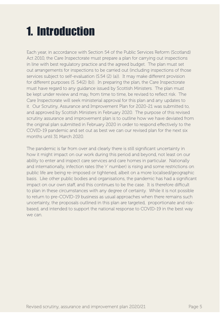## 1. Introduction

Each year, in accordance with Section 54 of the Public Services Reform (Scotland) Act 2010, the Care Inspectorate must prepare a plan for carrying out inspections in line with best regulatory practice and the agreed budget. The plan must set out arrangements for inspections to be carried out (including inspections of those services subject to self-evaluation (S.54 (2) (a)). It may make different provision for different purposes (S. 54(2) (b)). In preparing the plan, the Care Inspectorate must have regard to any guidance issued by Scottish Ministers. The plan must be kept under review and may, from time to time, be revised to reflect risk. The Care Inspectorate will seek ministerial approval for this plan and any updates to it. Our Scrutiny, Assurance and Improvement Plan for 2020-21 was submitted to, and approved by Scottish Ministers in February 2020. The purpose of this revised scrutiny assurance and improvement plan is to outline how we have deviated from the original plan submitted in February 2020 in order to respond effectively to the COVID-19 pandemic and set out as best we can our revised plan for the next six months until 31 March 2020.

The pandemic is far from over and clearly there is still significant uncertainty in how it might impact on our work during this period and beyond, not least on our ability to enter and inspect care services and care homes in particular. Nationally and internationally, infection rates (the 'r' number) is rising and some restrictions on public life are being re-imposed or tightened, albeit on a more localised/geographic basis. Like other public bodies and organisations, the pandemic has had a significant impact on our own staff, and this continues to be the case. It is therefore difficult to plan in these circumstances with any degree of certainty. While it is not possible to return to pre-COVID-19 business as usual approaches when there remains such uncertainty, the proposals outlined in this plan are targeted, proportionate and riskbased, and intended to support the national response to COVID-19 in the best way we can.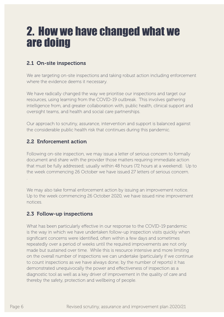## 2. How we have changed what we are doing

## 2.1 On-site inspections

We are targeting on-site inspections and taking robust action including enforcement where the evidence deems it necessary.

We have radically changed the way we prioritise our inspections and target our resources, using learning from the COVID-19 outbreak. This involves gathering intelligence from, and greater collaboration with, public health, clinical support and oversight teams, and health and social care partnerships.

Our approach to scrutiny, assurance, intervention and support is balanced against the considerable public health risk that continues during this pandemic.

## 2.2 Enforcement action

Following on-site inspection, we may issue a letter of serious concern to formally document and share with the provider those matters requiring immediate action that must be fully addressed; usually within 48 hours (72 hours at a weekend). Up to the week commencing 26 October we have issued 27 letters of serious concern. .

We may also take formal enforcement action by issuing an improvement notice. Up to the week commencing 26 October 2020, we have issued nine improvement notices.

## 2.3 Follow-up inspections

What has been particularly effective in our response to the COVID-19 pandemic is the way in which we have undertaken follow-up inspection visits quickly when significant concerns were identified, often within a few days and sometimes repeatedly over a period of weeks until the required improvements are not only made but sustained over time. While this is resource intensive and more limiting on the overall number of inspections we can undertake (particularly if we continue to count inspections as we have always done; by the number of reports) it has demonstrated unequivocally the power and effectiveness of inspection as a diagnostic tool as well as a key driver of improvement in the quality of care and thereby the safety, protection and wellbeing of people.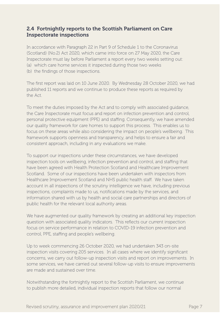### 2.4 Fortnightly reports to the Scottish Parliament on Care Inspectorate inspections

In accordance with Paragraph 22 in Part 9 of Schedule 1 to the Coronavirus (Scotland) (No.2) Act 2020, which came into force on 27 May 2020, the Care Inspectorate must lay before Parliament a report every two weeks setting out: (a) which care home services it inspected during those two weeks

(b) the findings of those inspections.

The first report was laid on 10 June 2020. By Wednesday 28 October 2020, we had published 11 reports and we continue to produce these reports as required by the Act.

To meet the duties imposed by the Act and to comply with associated guidance, the Care Inspectorate must focus and report on infection prevention and control, personal protective equipment (PPE) and staffing. Consequently, we have amended our quality framework for care homes to support this process. This enables us to focus on these areas while also considering the impact on people's wellbeing. This framework supports openness and transparency, and helps to ensure a fair and consistent approach, including in any evaluations we make.

To support our inspections under these circumstances, we have developed inspection tools on wellbeing, infection prevention and control, and staffing that have been agreed with Health Protection Scotland and Healthcare Improvement Scotland. Some of our inspections have been undertaken with inspectors from Healthcare Improvement Scotland and NHS public health staff. We have taken account in all inspections of the scrutiny intelligence we have, including previous inspections, complaints made to us, notifications made by the services, and information shared with us by health and social care partnerships and directors of public health for the relevant local authority areas.

We have augmented our quality framework by creating an additional key inspection question with associated quality indicators. This reflects our current inspection focus on service performance in relation to COVID-19 infection prevention and control, PPE, staffing and people's wellbeing.

Up to week commencing 26 October 2020, we had undertaken 343 on-site inspection visits covering 205 services. In all cases where we identify significant concerns, we carry out follow-up inspection visits and report on improvements. In some services, we have carried out several follow-up visits to ensure improvements are made and sustained over time.

Notwithstanding the fortnightly report to the Scottish Parliament, we continue to publish more detailed, individual inspection reports that follow our normal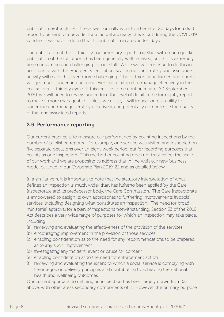publication protocols. For these, we normally work to a target of 20 days for a draft report to be sent to a provider for a factual accuracy check, but during the COVID-19 pandemic we have reduced that to publication in around ten days.

The publication of the fortnightly parliamentary reports together with much quicker publication of the full reports has been generally well received, but this is extremely time consuming and challenging for our staff. While we will continue to do this in accordance with the emergency legislation, scaling up our scrutiny and assurance activity will make this even more challenging. The fortnightly parliamentary reports will get much longer and become even more difficult to manage effectively in the course of a fortnightly cycle. If this requires to be continued after 30 September 2020, we will need to review and reduce the level of detail in the fortnightly report to make it more manageable. Unless we do so, it will impact on our ability to undertake and manage scrutiny effectively, and potentially compromise the quality of that and associated reports.

## 2.5 Performance reporting

Our current practice is to measure our performance by counting inspections by the number of published reports. For example, one service was visited and inspected on five separate occasions over an eight-week period, but for recording purposes that counts as one inspection. This method of counting does not truly reflect the scale of our work and we are proposing to address that in line with our new business model outlined in our Corporate Plan 2019-22 and as detailed below.

In a similar vein, it is important to note that the statutory interpretation of what defines an inspection is much wider than has hitherto been applied by the Care Inspectorate and its predecessor body, the Care Commission. The Care Inspectorate is empowered to design its own approaches to furthering improvements in social services, including designing what constitutes an inspection. The need for broad ministerial approval for a plan of inspections notwithstanding, Section 53 of the 2010 Act describes a very wide range of purposes for which an inspection may take place, including:

- (a) reviewing and evaluating the effectiveness of the provision of the services
- (b) encouraging improvement in the provision of those services
- (c) enabling consideration as to the need for any recommendations to be prepared as to any such improvement
- (d) investigating any incident, event or cause for concern
- (e) enabling consideration as to the need for enforcement action
- (f) reviewing and evaluating the extent to which a social service is complying with the integration delivery principles and contributing to achieving the national health and wellbeing outcomes.

Our current approach to defining an inspection has been largely drawn from (a) above, with other areas secondary components of it. However, the primary purpose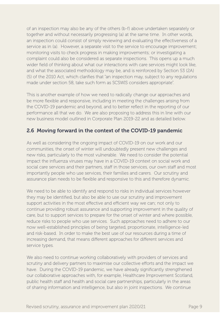of an inspection may also be any of the others (b-f) above undertaken separately or together and without necessarily progressing (a) at the same time. In other words, an inspection could consist of simply reviewing and evaluating the effectiveness of a service as in (a). However, a separate visit to the service to encourage improvement; monitoring visits to check progress in making improvements; or investigating a complaint could also be considered as separate inspections. This opens up a much wider field of thinking about what our interactions with care services might look like, and what the associated methodology may be, and is reinforced by Section 53 (2A) (5) of the 2010 Act, which clarifies that "an inspection may, subject to any regulations made under section 58, take such form as SCSWIS considers appropriate".

This is another example of how we need to radically change our approaches and be more flexible and responsive, including in meeting the challenges arising from the COVID-19 pandemic and beyond, and to better reflect in the reporting of our performance all that we do. We are also proposing to address this in line with our new business model outlined in Corporate Plan 2019-22 and as detailed below.

## 2.6 Moving forward in the context of the COVID-19 pandemic

As well as considering the ongoing impact of COVID-19 on our work and our communities, the onset of winter will undoubtedly present new challenges and new risks, particularly to the most vulnerable. We need to consider the potential impact the influenza viruses may have in a COVID-19 context on social work and social care services and their partners, staff in those services, our own staff and most importantly people who use services, their families and carers. Our scrutiny and assurance plan needs to be flexible and responsive to this and therefore dynamic.

We need to be able to identify and respond to risks in individual services however they may be identified, but also be able to use our scrutiny and improvement support activities in the most effective and efficient way we can; not only to continue providing robust assurance and supporting improvement in the quality of care, but to support services to prepare for the onset of winter and where possible, reduce risks to people who use services. Such approaches need to adhere to our now well-established principles of being targeted, proportionate, intelligence-led and risk-based. In order to make the best use of our resources during a time of increasing demand, that means different approaches for different services and service types.

We also need to continue working collaboratively with providers of services and scrutiny and delivery partners to maximise our collective efforts and the impact we have. During the COVID-19 pandemic, we have already significantly strengthened our collaborative approaches with, for example, Healthcare Improvement Scotland, public health staff and health and social care partnerships, particularly in the areas of sharing information and intelligence, but also in joint inspections. We continue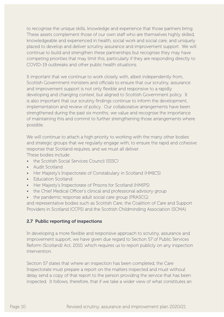to recognise the unique skills, knowledge and experience that those partners bring. These assets complement those of our own staff who are themselves highly skilled, knowledgeable and experienced in health, social work and social care, and uniquely placed to develop and deliver scrutiny assurance and improvement support. We will continue to build and strengthen these partnerships but recognise they may have competing priorities that may limit this, particularly if they are responding directly to COVID-19 outbreaks and other public health situations.

It important that we continue to work closely with, albeit independently from, Scottish Government ministers and officials to ensure that our scrutiny, assurance and improvement support is not only flexible and responsive to a rapidly developing and changing context, but aligned to Scottish Government policy. It is also important that our scrutiny findings continue to inform the development, implementation and review of policy. Our collaborative arrangements have been strengthened during the past six months; we value and recognise the importance of maintaining this and commit to further strengthening those arrangements where possible.

We will continue to attach a high priority to working with the many other bodies and strategic groups that we regularly engage with, to ensure the rapid and cohesive response that Scotland requires, and we must all deliver.

These bodies include:

- the Scottish Social Services Council (SSSC)
- Audit Scotland
- Her Majesty's Inspectorate of Constabulary in Scotland (HMICS)
- Education Scotland
- Her Majesty's Inspectorate of Prisons for Scotland (HMIPS)
- the Chief Medical Officer's clinical and professional advisory group
- the pandemic response adult social care group (PRASCG)

and representative bodies such as Scottish Care, the Coalition of Care and Support Providers in Scotland (CCPS) and the Scottish Childminding Association (SCMA)

#### 2.7 Public reporting of inspections

In developing a more flexible and responsive approach to scrutiny, assurance and improvement support, we have given due regard to Section 57 of Public Services Reform (Scotland) Act, 2010, which requires us to report publicly on any inspection intervention.

Section 57 states that where an inspection has been completed, the Care Inspectorate must prepare a report on the matters inspected and must without delay send a copy of that report to the person providing the service that has been inspected. It follows, therefore, that if we take a wider view of what constitutes an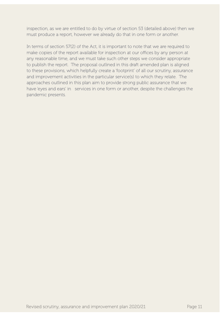inspection, as we are entitled to do by virtue of section 53 (detailed above) then we must produce a report, however we already do that in one form or another.

In terms of section 57(2) of the Act, it is important to note that we are required to make copies of the report available for inspection at our offices by any person at any reasonable time, and we must take such other steps we consider appropriate to publish the report. The proposal outlined in this draft amended plan is aligned to these provisions, which helpfully create a 'footprint' of all our scrutiny, assurance and improvement activities in the particular service(s) to which they relate. The approaches outlined in this plan aim to provide strong public assurance that we have 'eyes and ears' in services in one form or another, despite the challenges the pandemic presents.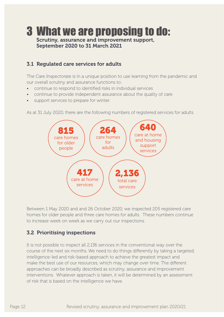## 3 What we are proposing to do: Scrutiny, assurance and improvement support, September 2020 to 31 March 2021

## 3.1 Regulated care services for adults

The Care Inspectorate is in a unique position to use learning from the pandemic and our overall scrutiny and assurance functions to:

- continue to respond to identified risks in individual services
- continue to provide independent assurance about the quality of care
- support services to prepare for winter.

As at 31 July 2020, there are the following numbers of registered services for adults.



Between 1 May 2020 and and 26 October 2020, we inspected 205 registered care homes for older people and three care homes for adults. These numbers continue to increase week on week as we carry out our inspections.

## 3.2 Prioritising inspections

It is not possible to inspect all 2,136 services in the conventional way over the course of the next six months. We need to do things differently by taking a targeted, intelligence-led and risk-based approach to achieve the greatest impact and make the best use of our resources, which may change over time. The different approaches can be broadly described as scrutiny, assurance and improvement interventions. Whatever approach is taken, it will be determined by an assessment of risk that is based on the intelligence we have.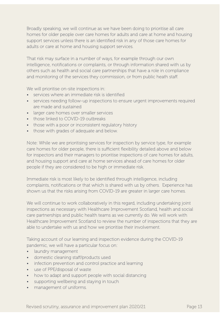Broadly speaking, we will continue as we have been doing to prioritise all care homes for older people over care homes for adults and care at home and housing support services unless there is an identified risk in any of those care homes for adults or care at home and housing support services.

That risk may surface in a number of ways, for example through our own intelligence, notifications or complaints, or through information shared with us by others such as health and social care partnerships that have a role in compliance and monitoring of the services they commission, or from public heath staff.

We will prioritise on-site inspections in:

- services where an immediate risk is identified
- services needing follow-up inspections to ensure urgent improvements required are made and sustained
- larger care homes over smaller services
- those linked to COVID-19 outbreaks
- those with a poor or inconsistent regulatory history
- those with grades of adequate and below.

Note: While we are prioritising services for inspection by service type, for example care homes for older people, there is sufficient flexibility detailed above and below for inspectors and their managers to prioritise inspections of care homes for adults, and housing support and care at home services ahead of care homes for older people if they are considered to be high or immediate risk.

Immediate risk is most likely to be identified through intelligence, including complaints, notifications or that which is shared with us by others. Experience has shown us that the risks arising from COVID-19 are greater in larger care homes.

We will continue to work collaboratively in this regard, including undertaking joint inspections as necessary with Healthcare Improvement Scotland, health and social care partnerships and public health teams as we currently do. We will work with Healthcare Improvement Scotland to review the number of inspections that they are able to undertake with us and how we prioritise their involvement.

Taking account of our learning and inspection evidence during the COVID-19 pandemic, we will have a particular focus on:

- laundry management
- domestic cleaning staff/products used
- infection prevention and control practice and learning
- use of PPE/disposal of waste
- how to adapt and support people with social distancing
- supporting wellbeing and staying in touch
- management of uniforms.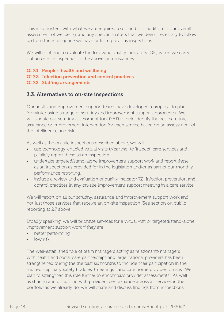This is consistent with what we are required to do and is in addition to our overall assessment of wellbeing, and any specific matters that we deem necessary to follow up from the intelligence we have or from previous inspections.

We will continue to evaluate the following quality indicators (QIs) when we carry out an on-site inspection in the above circumstances.

- QI 7.1 People's health and wellbeing
- QI 7.2 Infection prevention and control practices
- QI 7.3 Staffing arrangements

#### 3.3. Alternatives to on-site inspections

Our adults and improvement support teams have developed a proposal to plan for winter using a range of scrutiny and improvement support approaches. We will update our scrutiny assessment tool (SAT) to help identify the best scrutiny, assurance or improvement intervention for each service based on an assessment of the intelligence and risk.

As well as the on-site inspections described above, we will:

- use technology-enabled virtual visits (Near Me) to 'inspect' care services and publicly report these as an inspection
- undertake targeted/stand-alone improvement support work and report these as an inspection as provided for in the legislation and/or as part of our monthly performance reporting.
- include a review and evaluation of quality indicator 7.2: Infection prevention and control practices in any on-site improvement support meeting in a care service.

We will report on all our scrutiny, assurance and improvement support work and not just those services that receive an on-site inspection (See section on public reporting at 2.7 above).

Broadly speaking, we will prioritise services for a virtual visit or targeted/stand-alone improvement support work if they are:

- better performing
- low risk

The well-established role of team managers acting as relationship managers with health and social care partnerships and large national providers has been strengthened during the the past six months to include their participation in the multi-disciplinary 'safety huddles' (meetings ) and care home provider forums. We plan to strengthen this role further to encompass provider assessments. As well as sharing and discussing with providers performance across all services in their portfolio as we already do, we will share and discuss findings from inspections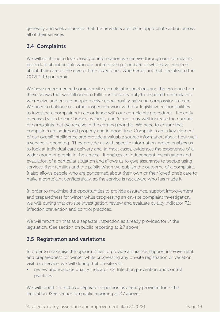generally and seek assurance that the providers are taking appropriate action across all of their services.

## 3.4 Complaints

We will continue to look closely at information we receive through our complaints procedure about people who are not receiving good care or who have concerns about their care or the care of their loved ones, whether or not that is related to the COVID-19 pandemic.

We have recommenced some on-site complaint inspections and the evidence from these shows that we still need to fulfil our statutory duty to respond to complaints we receive and ensure people receive good-quality, safe and compassionate care. We need to balance our other inspection work with our legislative responsibilities to investigate complaints in accordance with our complaints procedures. Recently increased visits to care homes by family and friends may well increase the number of complaints that we receive in the coming months. We need to ensure that complaints are addressed properly and in good time. Complaints are a key element of our overall intelligence and provide a valuable source information about how well a service is operating. They provide us with specific information, which enables us to look at individual care delivery and, in most cases, evidences the experience of a wider group of people in the service. It enables an independent investigation and evaluation of a particular situation and allows us to give assurance to people using services, their families and the public when we publish the outcome of a complaint. It also allows people who are concerned about their own or their loved one's care to make a complaint confidentially, so the service is not aware who has made it.

In order to maximise the opportunities to provide assurance, support improvement and preparedness for winter while progressing an on-site complaint investigation, we will, during that on-site investigation, review and evaluate quality indicator 7.2: Infection prevention and control practices.

We will report on that as a separate inspection as already provided for in the legislation. (See section on public reporting at 2.7 above.)

## 3.5 Registration and variations

In order to maximise the opportunities to provide assurance, support improvement and preparedness for winter while progressing any on-site registration or variation visit to a service, we will during that on-site visit:

• review and evaluate quality indicator 7.2: Infection prevention and control practices.

We will report on that as a separate inspection as already provided for in the legislation. (See section on public reporting at 2.7 above.)

Revised scrutiny, assurance and improvement plan 2020/21 Page 15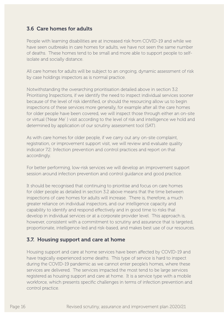## 3.6 Care homes for adults

People with learning disabilities are at increased risk from COVID-19 and while we have seen outbreaks in care homes for adults, we have not seen the same number of deaths. These homes tend to be small and more able to support people to selfisolate and socially distance.

All care homes for adults will be subject to an ongoing, dynamic assessment of risk by case holdings inspectors as is normal practice.

Notwithstanding the overarching prioritisation detailed above in section 3.2 Prioritising Inspections, if we identify the need to inspect individual services sooner because of the level of risk identified, or should the resourcing allow us to begin inspections of these services more generally, for example after all the care homes for older people have been covered, we will inspect those through either an on-site or virtual ('Near Me' ) visit according to the level of risk and intelligence we hold and determined by application of our scrutiny assessment tool (SAT).

As with care homes for older people, if we carry out any on-site complaint, registration, or improvement support visit, we will review and evaluate quality indicator 7.2: Infection prevention and control practices and report on that accordingly.

For better performing, low-risk services we will develop an improvement support session around infection prevention and control guidance and good practice.

It should be recognised that continuing to prioritise and focus on care homes for older people as detailed in section 3.2 above means that the time between inspections of care homes for adults will increase. There is, therefore, a much greater reliance on individual inspectors, and our intelligence capacity and capability to identify and respond effectively and in good time to risks that develop in individual services or at a corporate provider level. This approach is, however, consistent with a commitment to scrutiny and assurance that is targeted, proportionate, intelligence-led and risk-based, and makes best use of our resources.

## 3.7. Housing support and care at home

Housing support and care at home services have been affected by COVID-19 and have tragically experienced some deaths. This type of service is hard to inspect during the COVID-19 pandemic as we cannot enter people's homes, where these services are delivered. The services impacted the most tend to be large services registered as housing support and care at home. It is a service type with a mobile workforce, which presents specific challenges in terms of infection prevention and control practice.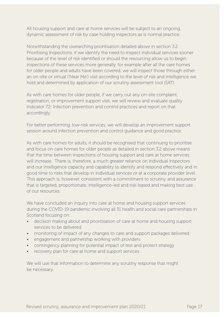All housing support and care at home services will be subject to an ongoing, dynamic assessment of risk by case holding inspectors as is normal practice.

Notwithstanding the overarching prioritisation detailed above in section 3.2 Prioritising Inspections, if we identify the need to inspect individual services sooner because of the level of risk identified or should the resourcing allow us to begin inspections of these services more generally, for example after all the care homes for older people and adults have been covered, we will inspect those through either an on-site or virtual ('Near Me') visit according to the level of risk and intelligence we hold and determined by application of our scrutiny assessment tool (SAT).

As with care homes for older people, if we carry out any on-site complaint, registration, or improvement support visit, we will review and evaluate quality indicator 7.2: Infection prevention and control practices and report on that accordingly.

For better performing, low-risk services, we will develop an improvement support session around infection prevention and control guidance and good practice.

As with care homes for adults, it should be recognised that continuing to prioritise and focus on care homes for older people as detailed in section 3.2 above means that the time between inspections of housing support and care at home services will increase. There is, therefore, a much greater reliance on individual inspectors and our intelligence capacity and capability to identify and respond effectively and in good time to risks that develop in individual services or at a corporate provider level. This approach is, however, consistent with a commitment to scrutiny and assurance that is targeted, proportionate, intelligence-led and risk-based and making best use of our resources.

We have concluded an inquiry into care at home and housing support services during the COVID-19 pandemic involving all 31 health and social care partnerships in Scotland focusing on:

- decision making about and prioritisation of care at home and housing support services to be delivered
- monitoring of impact of any changes to care and support packages delivered
- engagement and partnership working with providers
- contingency planning for potential impact of test and protect strategy
- recovery plan for care at home and support services.

We will use that information to determine any scrutiny response that might be necessary.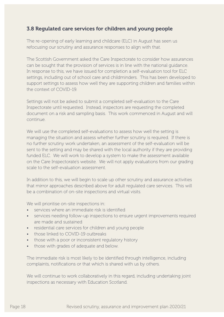## 3.8 Regulated care services for children and young people

The re-opening of early learning and childcare (ELC) in August has seen us refocusing our scrutiny and assurance responses to align with that.

The Scottish Government asked the Care Inspectorate to consider how assurances can be sought that the provision of services is in line with the national guidance. In response to this, we have issued for completion a self-evaluation tool for ELC settings, including out of school care and childminders. This has been developed to support settings to assess how well they are supporting children and families within the context of COVID-19.

Settings will not be asked to submit a completed self-evaluation to the Care Inspectorate until requested. Instead, inspectors are requesting the completed document on a risk and sampling basis. This work commenced in August and will continue.

We will use the completed self-evaluations to assess how well the setting is managing the situation and assess whether further scrutiny is required. If there is no further scrutiny work undertaken, an assessment of the self-evaluation will be sent to the setting and may be shared with the local authority if they are providing funded ELC. We will work to develop a system to make the assessment available on the Care Inspectorate's website. We will not apply evaluations from our grading scale to the self-evaluation assessment.

In addition to this, we will begin to scale up other scrutiny and assurance activities that mirror approaches described above for adult regulated care services. This will be a combination of on-site inspections and virtual visits.

We will prioritise on-site inspections in:

- services where an immediate risk is identified
- services needing follow-up inspections to ensure urgent improvements required are made and sustained
- residential care services for children and young people
- those linked to COVID-19 outbreaks
- those with a poor or inconsistent regulatory history
- those with grades of adequate and below.

The immediate risk is most likely to be identified through intelligence, including complaints, notifications or that which is shared with us by others.

We will continue to work collaboratively in this regard, including undertaking joint inspections as necessary with Education Scotland.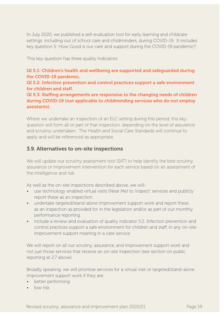In July 2020, we published a self-evaluation tool for early learning and childcare settings, including out of school care and childminders, during COVID-19. It includes key question 5: How Good is our care and support during the COVID-19 pandemic?

This key question has three quality indicators:

#### QI 5.1: Children's health and wellbeing are supported and safeguarded during the COVID-19 pandemic.

QI 5.2: Infection prevention and control practices support a safe environment for children and staff.

#### QI 5.3: Staffing arrangements are responsive to the changing needs of children during COVID-19 (not applicable to childminding services who do not employ assistants).

Where we undertake an inspection of an ELC setting during this period, this key question will form all or part of that inspection, depending on the level of assurance and scrutiny undertaken. The Health and Social Care Standards will continue to apply and will be referenced as appropriate.

## 3.9. Alternatives to on-site inspections

We will update our scrutiny assessment tool (SAT) to help identify the best scrutiny, assurance or improvement intervention for each service based on an assessment of the intelligence and risk.

As well as the on-site inspections described above, we will:

- use technology enabled virtual visits (Near Me) to 'inspect' services and publicly report these as an inspection
- undertake targeted/stand-alone improvement support work and report these as an inspection as provided for in the legislation and/or as part of our monthly performance reporting.
- include a review and evaluation of quality indicator 5.2: Infection prevention and control practices support a safe environment for children and staff, in any on-site improvement support meeting in a care service.

We will report on all our scrutiny, assurance, and improvement support work and not just those services that receive an on-site inspection (see section on public reporting at 2.7 above).

Broadly speaking, we will prioritise services for a virtual visit or targeted/stand-alone improvement support work if they are:

- better performing
- low risk.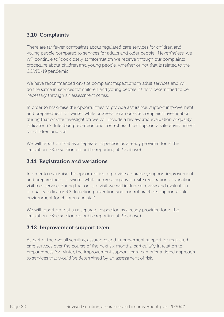## 3.10 Complaints

There are far fewer complaints about regulated care services for children and young people compared to services for adults and older people. Nevertheless, we will continue to look closely at information we receive through our complaints procedure about children and young people, whether or not that is related to the COVID-19 pandemic.

We have recommenced on-site complaint inspections in adult services and will do the same in services for children and young people if this is determined to be necessary through an assessment of risk.

In order to maximise the opportunities to provide assurance, support improvement and preparedness for winter while progressing an on-site complaint investigation, during that on-site investigation we will include a review and evaluation of quality indicator 5.2: Infection prevention and control practices support a safe environment for children and staff.

We will report on that as a separate inspection as already provided for in the legislation. (See section on public reporting at 2.7 above).

## 3.11 Registration and variations

In order to maximise the opportunities to provide assurance, support improvement and preparedness for winter while progressing any on-site registration or variation visit to a service, during that on-site visit we will include a review and evaluation of quality indicator 5.2: Infection prevention and control practices support a safe environment for children and staff.

We will report on that as a separate inspection as already provided for in the legislation. (See section on public reporting at 2.7 above).

### 3.12 Improvement support team

As part of the overall scrutiny, assurance and improvement support for regulated care services over the course of the next six months, particularly in relation to preparedness for winter, the improvement support team can offer a tiered approach to services that would be determined by an assessment of risk.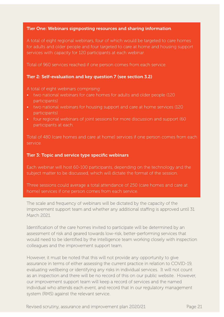#### Tier One: Webinars signposting resources and sharing information

A total of eight regional webinars, four of which would be targeted to care homes for adults and older people and four targeted to care at home and housing support services with capacity for 120 participants at each webinar.

Total of 960 services reached if one person comes from each service.

#### Tier 2: Self-evaluation and key question 7 (see section 3.2)

A total of eight webinars comprising:

- two national webinars for care homes for adults and older people (120 participants)
- two national webinars for housing support and care at home services (120 participants)
- four regional webinars of joint sessions for more discussion and support (60 participants at each.

Total of 480 (care homes and care at home) services if one person comes from each service.

#### Tier 3: Topic and service type specific webinars

Each webinar will host 60-100 participants, depending on the technology and the subject matter to be discussed, which will dictate the format of the session.

Three sessions could average a total attendance of 250 (care homes and care at home) services if one person comes from each service.

The scale and frequency of webinars will be dictated by the capacity of the improvement support team and whether any additional staffing is approved until 31 March 2021.

Identification of the care homes invited to participate will be determined by an assessment of risk and geared towards low-risk, better-performing services that would need to be identified by the intelligence team working closely with inspection colleagues and the improvement support team.

However, it must be noted that this will not provide any opportunity to give assurance in terms of either assessing the current practice in relation to COVID-19, evaluating wellbeing or identifying any risks in individual services. It will not count as an inspection and there will be no record of this on our public website. However, our improvement support team will keep a record of services and the named individual who attends each event, and record that in our regulatory management system (RMS) against the relevant service.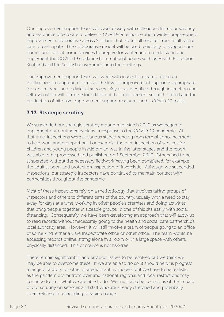Our improvement support team will work closely with colleagues from our scrutiny and assurance directorate to deliver a COVID-19 response and a winter preparedness improvement collaborative across Scotland that invites all services from adult social care to participate. The collaborative model will be used regionally to support care homes and care at home services to prepare for winter and to understand and implement the COVID-19 guidance from national bodies such as Health Protection Scotland and the Scottish Government into their settings.

The improvement support team will work with inspection teams, taking an intelligence-led approach to ensure the level of improvement support is appropriate for service types and individual services. Key areas identified through inspection and self-evaluation will form the foundation of the improvement support offered and the production of bite-size improvement support resources and a COVID-19 toolkit.

## 3.13 Strategic scrutiny

We suspended our strategic scrutiny around mid-March 2020 as we began to implement our contingency plans in response to the COVID-19 pandemic. At that time, inspections were at various stages, ranging from formal announcement to field work and prereporting. For example, the joint inspection of services for children and young people in Midlothian was in the latter stages and the report was able to be progressed and published on 1 September 2020. Others had to be suspended without the necessary fieldwork having been completed, for example the adult support and protection inspection of Inverclyde. Although we suspended inspections, our strategic inspectors have continued to maintain contact with partnerships throughout the pandemic.

Most of these inspections rely on a methodology that involves taking groups of inspectors and others to different parts of the country, usually with a need to stay away for days at a time, working in other people's premises and doing activities that bring people together in sizeable groups. None of this sits easily with social distancing. Consequently, we have been developing an approach that will allow us to read records without necessarily going to the health and social care partnership's local authority area. However, it will still involve a team of people going to an office of some kind, either a Care Inspectorate office or other office. The team would be accessing records online, sitting alone in a room or in a large space with others, physically distanced. This of course is not risk-free.

There remain significant IT and protocol issues to be resolved but we think we may be able to overcome these. If we are able to do so, it should help us progress a range of activity for other strategic scrutiny models, but we have to be realistic as the pandemic is far from over and national, regional and local restrictions may continue to limit what we are able to do. We must also be conscious of the impact of our scrutiny on services and staff who are already stretched and potentially overstretched in responding to rapid change.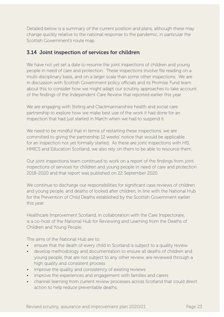Detailed below is a summary of the current position and plans, although these may change quickly relative to the national response to the pandemic, in particular the Scottish Government's route map.

## 3.14 Joint inspection of services for children

We have not yet set a date to resume the joint inspections of children and young people in need of care and protection. These inspections involve file reading on a multi-disciplinary basis, and on a larger scale than some other inspections. We are in discussion with Scottish Government policy officials and its Promise Fund team about this to consider how we might adapt our scrutiny approaches to take account of the findings of the Independent Care Review that reported earlier this year.

We are engaging with Stirling and Clackmannanshire health and social care partnership to explore how we make best use of the work it had done for an inspection that had just started in March when we had to suspend it.

We need to be mindful that in terms of restarting these inspections, we are committed to giving the partnership 12 weeks' notice that would be applicable for an inspection not yet formally started. As these are joint inspections with HIS, HMICS and Education Scotland, we also rely on them to be able to resource them.

Our joint inspections team continued to work on a report of the findings from joint inspections of services for children and young people in need of care and protection 2018-2020 and that report was published on 22 September 2020.

We continue to discharge our responsibilities for significant case reviews of children and young people, and deaths of looked after children, in line with the National Hub for the Prevention of Child Deaths established by the Scottish Government earlier this year.

Healthcare Improvement Scotland, in collaboration with the Care Inspectorate, is a co-host of the National Hub for Reviewing and Learning from the Deaths of Children and Young People.

The aims of the National Hub are to:

- ensure that the death of every child in Scotland is subject to a quality review
- develop methodology and documentation to ensure all deaths of children and young people, that are not subject to any other review, are reviewed through a high quality and consistent process
- improve the quality and consistency of existing reviews
- improve the experiences and engagement with families and carers
- channel learning from current review processes across Scotland that could direct action to help reduce preventable deaths.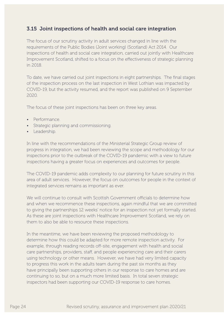## 3.15 Joint inspections of health and social care integration

The focus of our scrutiny activity in adult services changed in line with the requirements of the Public Bodies (Joint working) (Scotland) Act 2014. Our inspections of health and social care integration, carried out jointly with Healthcare Improvement Scotland, shifted to a focus on the effectiveness of strategic planning in 2018.

To date, we have carried out joint inspections in eight partnerships. The final stages of the inspection process on the last inspection in West Lothian was impacted by COVID-19, but the activity resumed, and the report was published on 9 September 2020.

The focus of these joint inspections has been on three key areas.

- Performance.
- Strategic planning and commissioning.
- Leadership.

In line with the recommendations of the Ministerial Strategic Group review of progress in integration, we had been reviewing the scope and methodology for our inspections prior to the outbreak of the COVID-19 pandemic with a view to future inspections having a greater focus on experiences and outcomes for people.

The COVID-19 pandemic adds complexity to our planning for future scrutiny in this area of adult services. However, the focus on outcomes for people in the context of integrated services remains as important as ever.

We will continue to consult with Scottish Government officials to determine how and when we recommence these inspections, again mindful that we are committed to giving the partnerships 12 weeks' notice for an inspection not yet formally started. As these are joint inspections with Healthcare Improvement Scotland, we rely on them to also be able to resource these inspections.

In the meantime, we have been reviewing the proposed methodology to determine how this could be adapted for more remote inspection activity. For example, through reading records off-site, engagement with health and social care partnerships, providers, staff, and people experiencing care and their carers using technology or other means. However, we have had very limited capacity to progress this work in the adults team during the past six months as they have principally been supporting others in our response to care homes and are continuing to so, but on a much more limited basis. In total seven strategic inspectors had been supporting our COVID-19 response to care homes.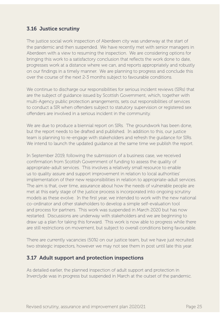## 3.16 Justice scrutiny

The justice social work inspection of Aberdeen city was underway at the start of the pandemic and then suspended. We have recently met with senior managers in Aberdeen with a view to resuming the inspection. We are considering options for bringing this work to a satisfactory conclusion that reflects the work done to date, progresses work at a distance where we can, and reports appropriately and robustly on our findings in a timely manner. We are planning to progress and conclude this over the course of the next 2-3 months subject to favourable conditions.

We continue to discharge our responsibilities for serious incident reviews (SIRs) that are the subject of guidance issued by Scottish Government, which, together with multi-Agency public protection arrangements, sets out responsibilities of services to conduct a SIR when offenders subject to statutory supervision or registered sex offenders are involved in a serious incident in the community.

We are due to produce a biennial report on SIRs. The groundwork has been done, but the report needs to be drafted and published. In addition to this, our justice team is planning to re-engage with stakeholders and refresh the guidance for SIRs. We intend to launch the updated quidance at the same time we publish the report.

In September 2019, following the submission of a business case, we received confirmation from Scottish Government of funding to assess the quality of appropriate-adult services. This involves a relatively small resource to enable us to quality assure and support improvement in relation to local authorities' implementation of their new responsibilities in relation to appropriate-adult services. The aim is that, over time, assurance about how the needs of vulnerable people are met at this early stage of the justice process is incorporated into ongoing scrutiny models as these evolve. In the first year, we intended to work with the new national co-ordinator and other stakeholders to develop a simple self-evaluation tool and process for partners. This work was suspended in March 2020 but has now restarted. Discussions are underway with stakeholders and we are beginning to draw up a plan for taking this forward. This work is now able to progress while there are still restrictions on movement, but subject to overall conditions being favourable.

There are currently vacancies (50%) on our justice team, but we have just recruited two strategic inspectors, however we may not see them in post until late this year.

### 3.17 Adult support and protection inspections

As detailed earlier, the planned inspection of adult support and protection in Inverclyde was in progress but suspended in March at the outset of the pandemic.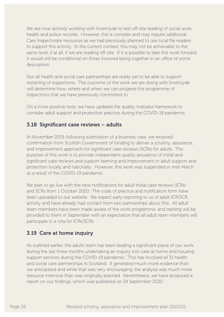We are now actively working with Inverclyde to test off-site reading of social work, health and police records. However, this is complex and may require additional Care Inspectorate resources as we had previously planned to use local file readers to support this activity. In the current context, this may not be achievable to the same level, if at all, if we are reading off-site. If it is possible to take this work forward, it would still be conditional on those involved being together in an office of some description.

Not all health and social care partnerships are ready yet to be able to support restarting of inspections. The outcome of the work we are doing with Inverclyde will determine how, where and when we can progress the programme of inspections that we have previously committed to.

On a more positive note, we have updated the quality indicator framework to consider adult support and protection practice during the COVID-19 pandemic.

## 3.18 Significant case reviews – adults

In November 2019, following submission of a business case, we received confirmation from Scottish Government of funding to deliver a scrutiny, assurance, and improvement approach for significant case reviews (SCRs) for adults. The purpose of this work is to provide independent quality assurance of initial and significant case reviews and support learning and improvement in adult support and protection locally and nationally. However, this work was suspended in mid-March as a result of the COVID-19 pandemic.

We plan to go live with the new notifications for adult initial case reviews (ICRs) and SCRs from 1 October 2020. The code of practice and notification form have been uploaded to our website. We expect early reporting to us of adult ICR/SCR activity and have already had contact from two partnerships about this. All adult team members have been made aware of the work programme, and training will be provided to them in September with an expectation that all adult team members will participate in a rota for ICRs/SCRs

## 3.19 Care at home inquiry

As outlined earlier, the adults team has been leading a significant piece of our work during the last three months undertaking an inquiry into care at home and housing support services during the COVID-19 pandemic. This has involved all 31 health and social care partnerships in Scotland. It generated much more evidence than we anticipated and while that was very encouraging, the analysis was much more resource intensive than was originally planned. Nevertheless, we have produced a report on our findings, which was published on 24 September 2020.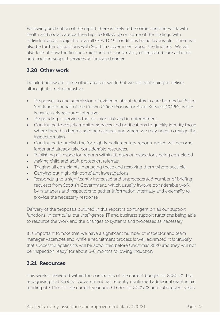Following publication of the report, there is likely to be some ongoing work with health and social care partnerships to follow up on some of the findings with individual areas, subject to overall COVID-19 conditions being favourable. There will also be further discussions with Scottish Government about the findings. We will also look at how the findings might inform our scrutiny of regulated care at home and housing support services as indicated earlier.

## 3.20 Other work

Detailed below are some other areas of work that we are continuing to deliver, although it is not exhaustive.

- Responses to and submission of evidence about deaths in care homes by Police Scotland on behalf of the Crown Office Procurator Fiscal Service (COPFS) which is particularly resource intensive.
- Responding to services that are high-risk and in enforcement.
- Continuing to closely monitor services and notifications to quickly identify those where there has been a second outbreak and where we may need to realign the inspection plan.
- Continuing to publish the fortnightly parliamentary reports, which will become larger and already take considerable resources.
- Publishing all inspection reports within 10 days of inspections being completed.
- Making child and adult protection referrals.
- Triaging all complaints, managing these and resolving them where possible.
- Carrying out high-risk complaint investigations.
- Responding to a significantly increased and unprecedented number of briefing requests from Scottish Government, which usually involve considerable work by managers and inspectors to gather information internally and externally to provide the necessary response.

Delivery of the proposals outlined in this report is contingent on all our support functions, in particular our intelligence, IT and business support functions being able to resource the work and the changes to systems and processes as necessary.

It is important to note that we have a significant number of inspector and team manager vacancies and while a recruitment process is well advanced, it is unlikely that successful applicants will be appointed before Christmas 2020 and they will not be 'inspection ready' for about 3-6 months following induction.

## 3.21 Resources

This work is delivered within the constraints of the current budget for 2020-21, but recognising that Scottish Government has recently confirmed additional grant in aid funding of £1.1m for the current year and £1.65m for 2021/22 and subsequent years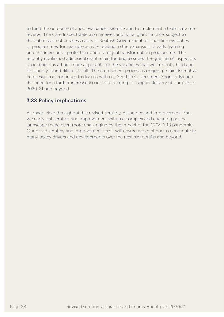to fund the outcome of a job evaluation exercise and to implement a team structure review. The Care Inspectorate also receives additional grant income, subject to the submission of business cases to Scottish Government for specific new duties or programmes, for example activity relating to the expansion of early learning and childcare, adult protection, and our digital transformation programme. The recently confirmed additional grant in aid funding to support regrading of inspectors should help us attract more applicants for the vacancies that we currently hold and historically found difficult to fill. The recruitment process is ongoing. Chief Executive Peter Macleod continues to discuss with our Scottish Government Sponsor Branch the need for a further increase to our core funding to support delivery of our plan in 2020-21 and beyond.

## 3.22 Policy implications

As made clear throughout this revised Scrutiny, Assurance and Improvement Plan, we carry out scrutiny and improvement within a complex and changing policy landscape made even more challenging by the impact of the COVID-19 pandemic. Our broad scrutiny and improvement remit will ensure we continue to contribute to many policy drivers and developments over the next six months and beyond.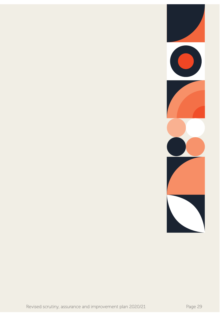